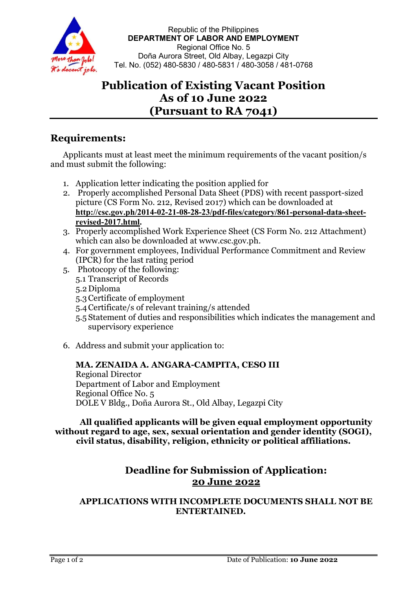

Republic of the Philippines DEPARTMENT OF LABOR AND EMPLOYMENT Regional Office No. 5 Doña Aurora Street, Old Albay, Legazpi City Tel. No. (052) 480-5830 / 480-5831 / 480-3058 / 481-0768

# Publication of Existing Vacant Position As of 10 June 2022 (Pursuant to RA 7041)

# Requirements:

Applicants must at least meet the minimum requirements of the vacant position/s and must submit the following:

- 1. Application letter indicating the position applied for
- 2. Properly accomplished Personal Data Sheet (PDS) with recent passport-sized picture (CS Form No. 212, Revised 2017) which can be downloaded at http://csc.gov.ph/2014-02-21-08-28-23/pdf-files/category/861-personal-data-sheetrevised-2017.html.
- 3. Properly accomplished Work Experience Sheet (CS Form No. 212 Attachment) which can also be downloaded at www.csc.gov.ph.
- 4. For government employees, Individual Performance Commitment and Review (IPCR) for the last rating period
- 5. Photocopy of the following: 5.1 Transcript of Records 5.2Diploma
	- 5.3Certificate of employment
	- 5.4Certificate/s of relevant training/s attended
	- 5.5 Statement of duties and responsibilities which indicates the management and supervisory experience
- 6. Address and submit your application to:

### MA. ZENAIDA A. ANGARA-CAMPITA, CESO III

Regional Director Department of Labor and Employment Regional Office No. 5 DOLE V Bldg., Doña Aurora St., Old Albay, Legazpi City

All qualified applicants will be given equal employment opportunity without regard to age, sex, sexual orientation and gender identity (SOGI), civil status, disability, religion, ethnicity or political affiliations.

## Deadline for Submission of Application: 20 June 2022

APPLICATIONS WITH INCOMPLETE DOCUMENTS SHALL NOT BE ENTERTAINED.